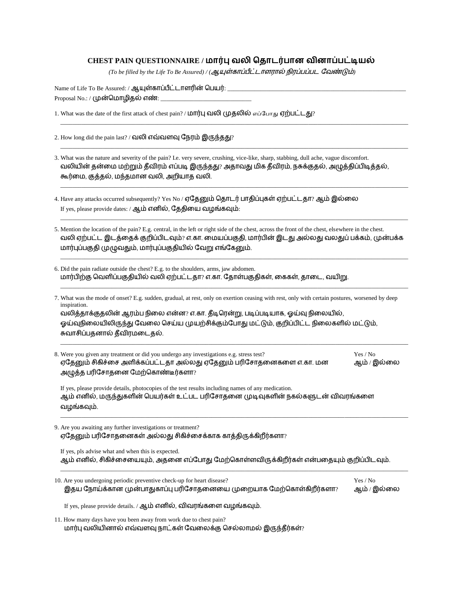## **CHEST PAIN QUESTIONNAIRE /**

(To be filled by the Life To Be Assured) / (ஆயுள்காப்பீட்டாளரால் நிரப்பப்பட வேண்டும்)

\_\_\_\_\_\_\_\_\_\_\_\_\_\_\_\_\_\_\_\_\_\_\_\_\_\_\_\_\_\_\_\_\_\_\_\_\_\_\_\_\_\_\_\_\_\_\_\_\_\_\_\_\_\_\_\_\_\_\_\_\_\_\_\_\_\_\_\_\_\_\_\_\_\_\_\_\_\_\_\_\_\_\_\_\_\_\_\_\_\_\_\_\_\_\_\_\_\_\_\_\_\_\_\_\_\_\_\_\_\_\_\_\_\_\_

\_\_\_\_\_\_\_\_\_\_\_\_\_\_\_\_\_\_\_\_\_\_\_\_\_\_\_\_\_\_\_\_\_\_\_\_\_\_\_\_\_\_\_\_\_\_\_\_\_\_\_\_\_\_\_\_\_\_\_\_\_\_\_\_\_\_\_\_\_\_\_\_\_\_\_\_\_\_\_\_\_\_\_\_\_\_\_\_\_\_\_\_\_\_\_\_\_\_\_\_\_\_\_\_\_\_\_\_\_\_\_\_\_\_\_

\_\_\_\_\_\_\_\_\_\_\_\_\_\_\_\_\_\_\_\_\_\_\_\_\_\_\_\_\_\_\_\_\_\_\_\_\_\_\_\_\_\_\_\_\_\_\_\_\_\_\_\_\_\_\_\_\_\_\_\_\_\_\_\_\_\_\_\_\_\_\_\_\_\_\_\_\_\_\_\_\_\_\_\_\_\_\_\_\_\_\_\_\_\_\_\_\_\_\_\_\_\_\_\_\_\_\_\_\_\_\_\_\_\_\_

\_\_\_\_\_\_\_\_\_\_\_\_\_\_\_\_\_\_\_\_\_\_\_\_\_\_\_\_\_\_\_\_\_\_\_\_\_\_\_\_\_\_\_\_\_\_\_\_\_\_\_\_\_\_\_\_\_\_\_\_\_\_\_\_\_\_\_\_\_\_\_\_\_\_\_\_\_\_\_\_\_\_\_\_\_\_\_\_\_\_\_\_\_\_\_\_\_\_\_\_\_\_\_\_\_\_\_\_\_\_\_\_\_\_\_

\_\_\_\_\_\_\_\_\_\_\_\_\_\_\_\_\_\_\_\_\_\_\_\_\_\_\_\_\_\_\_\_\_\_\_\_\_\_\_\_\_\_\_\_\_\_\_\_\_\_\_\_\_\_\_\_\_\_\_\_\_\_\_\_\_\_\_\_\_\_\_\_\_\_\_\_\_\_\_\_\_\_\_\_\_\_\_\_\_\_\_\_\_\_\_\_\_\_\_\_\_\_\_\_\_\_\_\_\_\_\_\_\_\_\_

\_\_\_\_\_\_\_\_\_\_\_\_\_\_\_\_\_\_\_\_\_\_\_\_\_\_\_\_\_\_\_\_\_\_\_\_\_\_\_\_\_\_\_\_\_\_\_\_\_\_\_\_\_\_\_\_\_\_\_\_\_\_\_\_\_\_\_\_\_\_\_\_\_\_\_\_\_\_\_\_\_\_\_\_\_\_\_\_\_\_\_\_\_\_\_\_\_\_\_\_\_\_\_\_\_\_\_\_\_\_\_\_\_\_\_

Name of Life To Be Assured: / ஆயுள்காப்பீட்டாளரின் பெயர்: \_ Proposal No.: / (முன்மொழிதல் எண்:

1. What was the date of the first attack of chest pain? / **மார்பு வலி முுதலில்** எப்போது ஏற்பட்டது?

- 2. How long did the pain last? / வலி எவ்வளவு நேரம் இருந்தது?
- 3. What was the nature and severity of the pain? I.e. very severe, crushing, vice-like, sharp, stabbing, dull ache, vague discomfort. வலியின் தன்மை மற்றும் தீவிரம் எப்படி இருந்தது? அதாவது மிக தீவிரம், நசுக்குதல், அழுத்திப்பிடித்தல், கூர்மை, குத்தல், மந்தமான வலி, அறியாத வலி.
- 4. Have any attacks occurred subsequently? Yes No / ஏதேனும் தொடர் பாதிப்புகள் ஏற்பட்டதா? ஆம் இல்லை If yes, please provide dates: / ஆம் எனில், தேதியை வழங்கவும்:
- 5. Mention the location of the pain? E.g. central, in the left or right side of the chest, across the front of the chest, elsewhere in the chest. வலி ஏற்பட்ட இடத்தைக் குறிப்பிடவும்? எ.கா. மையப்பகுதி, மார்பின் இடது அல்லது வலதுப் பக்கம், முன்பக்க மார்புப்பகுதி முழுவதும், மார்புப்பகுதியில் வேறு எங்கேனும்.
- 6. Did the pain radiate outside the chest? E.g. to the shoulders, arms, jaw abdomen. மார்பிற்கு வெளிப்பகுதியில் வலி ஏற்பட்டதா? எ.கா. தோள்பகுதிகள், கைகள், தாடை, வயிறு.
- 7. What was the mode of onset? E.g. sudden, gradual, at rest, only on exertion ceasing with rest, only with certain postures, worsened by deep inspiration. வலிக்காக்குகலின் ஆரம்ப நிலை என்ன? எ.கா. கீடிரென்று, படிப்படியாக, ஒய்வு நிலையில், ஓய்வுநிலையிலிருந்து வேலை செய்ய முயற்சிக்கும்போது மட்டும், குறிப்பிட்ட நிலைகளில் மட்டும், சுவாசிப்பதனால் தீவிரமடைதல்.
- 8. Were you given any treatment or did you undergo any investigations e.g. stress test? Yes / No ஏதேனும் சிகிச்சை அளிக்கப்பட்டதா அல்லது ஏதேனும் பரிசோதனைகளை எ.கா. மன ஆம் / இல்லை அழுத்த பரிசோதனை மேற்கொண்டீர்களா?

\_\_\_\_\_\_\_\_\_\_\_\_\_\_\_\_\_\_\_\_\_\_\_\_\_\_\_\_\_\_\_\_\_\_\_\_\_\_\_\_\_\_\_\_\_\_\_\_\_\_\_\_\_\_\_\_\_\_\_\_\_\_\_\_\_\_\_\_\_\_\_\_\_\_\_\_\_\_\_\_\_\_\_\_\_\_\_\_\_\_\_\_\_\_\_\_\_\_\_\_\_\_\_\_\_\_\_\_\_\_\_\_\_\_\_

\_\_\_\_\_\_\_\_\_\_\_\_\_\_\_\_\_\_\_\_\_\_\_\_\_\_\_\_\_\_\_\_\_\_\_\_\_\_\_\_\_\_\_\_\_\_\_\_\_\_\_\_\_\_\_\_\_\_\_\_\_\_\_\_\_\_\_\_\_\_\_\_\_\_\_\_\_\_\_\_\_\_\_\_\_\_\_\_\_\_\_\_\_\_\_\_\_\_\_\_\_\_\_\_\_\_\_\_\_\_\_\_\_\_\_

\_\_\_\_\_\_\_\_\_\_\_\_\_\_\_\_\_\_\_\_\_\_\_\_\_\_\_\_\_\_\_\_\_\_\_\_\_\_\_\_\_\_\_\_\_\_\_\_\_\_\_\_\_\_\_\_\_\_\_\_\_\_\_\_\_\_\_\_\_\_\_\_\_\_\_\_\_\_\_\_\_\_\_\_\_\_\_\_\_\_\_\_\_\_\_\_\_\_\_\_\_\_\_\_\_\_\_\_\_\_\_\_\_\_\_

If yes, please provide details, photocopies of the test results including names of any medication. ஆம் எனில், மருந்துகளின் பெயர்கள் உட்பட பரிசோதனை முடிவுகளின் நகல்களுடன் விவரங்களை வழங்கவும்.

9. Are you awaiting any further investigations or treatment? ஏதேனும் பரிசோதனைகள் அல்லது சிகிச்சைக்காக காத்திருக்கிறீர்களா?

If yes, pls advise what and when this is expected. ஆம் எனில், சிகிச்சையையும், அதனை எப்போது மேற்கொள்ளவிருக்கிறீர்கள் என்பதையும் குறிப்பிடவும்.

| 10. Are you undergoing periodic preventive check-up for heart disease? | Yes / No    |
|------------------------------------------------------------------------|-------------|
| இதய நோய்க்கான முன்பாதுகாப்பு பரிசோதனையை முறையாக மேற்கொள்கிறீர்களா?     | ஆம் / இல்லை |
| If yes, please provide details. / ஆம் எனில், விவரங்களை வழங்கவும்.      |             |

11. How many days have you been away from work due to chest pain? மார்பு வலியினால் எவ்வளவு நாட்கள் வேலைக்கு செல்லாமல் இருந்தீர்கள்?